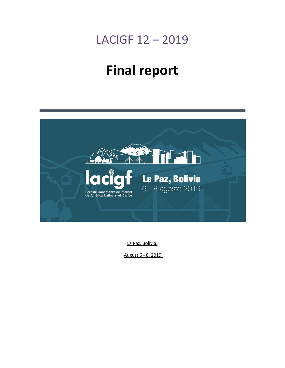## LACIGF 12 – 2019

# **Final report**



La Paz, Bolivia.

August 6 - 8, 2019.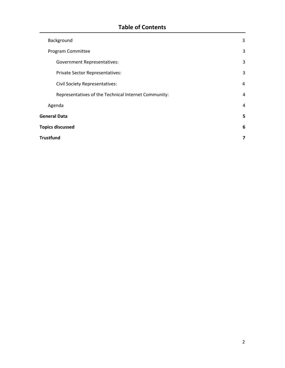### **Table of Contents**

|                         | Background                                           | 3 |
|-------------------------|------------------------------------------------------|---|
|                         | Program Committee                                    | 3 |
|                         | <b>Government Representatives:</b>                   | 3 |
|                         | Private Sector Representatives:                      | 3 |
|                         | <b>Civil Society Representatives:</b>                | 4 |
|                         | Representatives of the Technical Internet Community: | 4 |
|                         | Agenda                                               | 4 |
| <b>General Data</b>     |                                                      | 5 |
| <b>Topics discussed</b> |                                                      | 6 |
|                         | Trustfund                                            |   |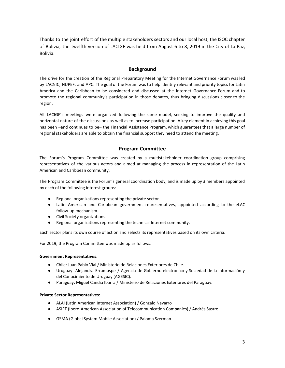Thanks to the joint effort of the multiple stakeholders sectors and our local host, the ISOC chapter of Bolivia, the twelfth version of LACIGF was held from August 6 to 8, 2019 in the City of La Paz, Bolivia.

#### **Background**

<span id="page-2-0"></span>The drive for the creation of the Regional Preparatory Meeting for the Internet Governance Forum was led by LACNIC, NUPEF, and APC. The goal of the Forum was to help identify relevant and priority topics for Latin America and the Caribbean to be considered and discussed at the Internet Governance Forum and to promote the regional community's participation in those debates, thus bringing discussions closer to the region.

All LACIGF´s meetings were organized following the same model, seeking to improve the quality and horizontal nature of the discussions as well as to increase participation. A key element in achieving this goal has been –and continues to be– the Financial Assistance Program, which guarantees that a large number of regional stakeholders are able to obtain the financial support they need to attend the meeting.

#### **Program Committee**

<span id="page-2-1"></span>The Forum's Program Committee was created by a multistakeholder coordination group comprising representatives of the various actors and aimed at managing the process in representation of the Latin American and Caribbean community.

The Program Committee is the Forum's general coordination body, and is made up by 3 members appointed by each of the following interest groups:

- Regional organizations representing the private sector.
- Latin American and Caribbean government representatives, appointed according to the eLAC follow-up mechanism.
- Civil Society organizations.
- Regional organizations representing the technical Internet community.

Each sector plans its own course of action and selects its representatives based on its own criteria.

For 2019, the Program Committee was made up as follows:

#### <span id="page-2-2"></span>**Government Representatives:**

- Chile: Juan Pablo Vial / Ministerio de Relaciones Exteriores de Chile.
- Uruguay: Alejandra Erramuspe / Agencia de Gobierno electrónico y Sociedad de la Información y del Conocimiento de Uruguay (AGESIC).
- Paraguay: Miguel Candia Ibarra / Ministerio de Relaciones Exteriores del Paraguay.

#### <span id="page-2-3"></span>**Private Sector Representatives:**

- ALAI (Latin American Internet Association) / Gonzalo Navarro
- ASIET (Ibero-American Association of Telecommunication Companies) / Andrés Sastre
- GSMA (Global System Mobile Association) / Paloma Szerman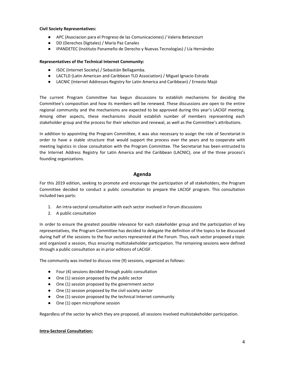#### <span id="page-3-0"></span>**Civil Society Representatives:**

- APC (Asociacion para el Progreso de las Comunicaciones) / Valeria Betancourt
- DD (Derechos Digitales) / María Paz Canales
- IPANDETEC (Instituto Panameño de Derecho y Nuevas Tecnologías) / Lía Hernández

#### <span id="page-3-1"></span>**Representatives of the Technical Internet Community:**

- ISOC (Internet Society) / Sebastián Bellagamba.
- LACTLD (Latin American and Caribbean TLD Association) / Miguel Ignacio Estrada
- LACNIC (Internet Addresses Registry for Latin America and Caribbean) / Ernesto Majó

The current Program Committee has begun discussions to establish mechanisms for deciding the Committee's composition and how its members will be renewed. These discussions are open to the entire regional community and the mechanisms are expected to be approved during this year's LACIGF meeting. Among other aspects, these mechanisms should establish number of members representing each stakeholder group and the process for their selection and renewal, as well as the Committee's attributions.

In addition to appointing the Program Committee, it was also necessary to assign the role of Secretariat in order to have a stable structure that would support the process over the years and to cooperate with meeting logistics in close consultation with the Program Committee. The Secretariat has been entrusted to the Internet Address Registry for Latin America and the Caribbean (LACNIC), one of the three process's founding organizations.

#### **Agenda**

<span id="page-3-2"></span>For this 2019 edition, seeking to promote and encourage the participation of all stakeholders, the Program Committee decided to conduct a public consultation to prepare the LACIGF program. This consultation included two parts:

- 1. An intra-sectoral consultation with each sector involved in Forum discussions
- 2. A public consultation

In order to ensure the greatest possible relevance for each stakeholder group and the participation of key representatives, the Program Committee has decided to delegate the definition of the topics to be discussed during half of the sessions to the four sectors represented at the Forum. Thus, each sector proposed a topic and organized a session, thus ensuring multistakeholder participation. The remaining sessions were defined through a public consultation as in prior editions of LACIGF.

The community was invited to discuss nine (9) sessions, organized as follows:

- Four (4) sessions decided through public consultation
- One (1) session proposed by the public sector
- One (1) session proposed by the government sector
- One (1) session proposed by the civil society sector
- One (1) session proposed by the technical Internet community
- One (1) open microphone session

Regardless of the sector by which they are proposed, all sessions involved multistakeholder participation.

#### **Intra-Sectoral Consultation:**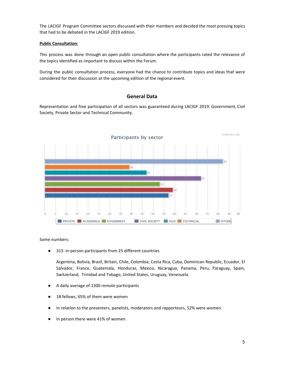The LACIGF Program Committee sectors discussed with their members and decided the most pressing topics that had to be debated in the LACIGF 2019 edition.

#### **Public Consultation:**

This process was done through an open public consultation where the participants rated the relevance of the topics identified as important to discuss within the Forum.

<span id="page-4-0"></span>During the public consultation process, everyone had the chance to contribute topics and ideas that were considered for their discussion at the upcoming edition of the regional event.

#### **General Data**

Representation and free participation of all sectors was guaranteed during LACIGF 2019: Government, Civil Society, Private Sector and Technical Community.



Some numbers:

● 313 in-person participants from 25 different countries

Argentina, Bolivia, Brazil, Britain, Chile, Colombia, Costa Rica, Cuba, Dominican Republic, Ecuador, El Salvador, France, Guatemala, Honduras, Mexico, Nicaragua, Panama, Peru, Paraguay, Spain, Switzerland, Trinidad and Tobago, United States, Uruguay, Venezuela.

- A daily average of 1300 remote participants
- 18 fellows, 65% of them were women
- In relation to the presenters, panelists, moderators and rapporteurs, 52% were women.
- In person there were 41% of women.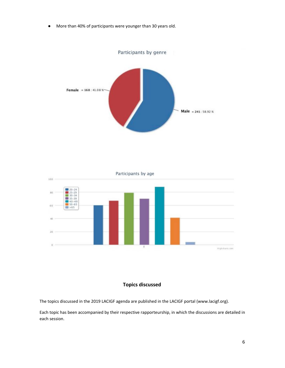● More than 40% of participants were younger than 30 years old.





#### **Topics discussed**

<span id="page-5-0"></span>The topics discussed in the 2019 LACIGF agenda are published in the LACIGF portal (www.lacigf.org).

Each topic has been accompanied by their respective rapporteurship, in which the discussions are detailed in each session.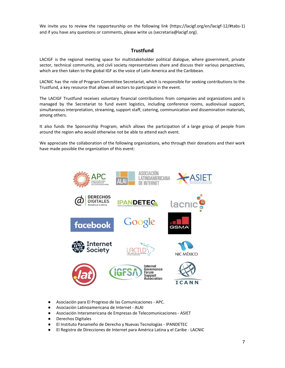<span id="page-6-0"></span>We invite you to review the rapporteurship on the following link (https://lacigf.org/en/lacigf-12/#tabs-1) and if you have any questions or comments, please write us (secretaria@lacigf.org).

#### **Trustfund**

LACIGF is the regional meeting space for multistakeholder political dialogue, where government, private sector, technical community, and civil society representatives share and discuss their various perspectives, which are then taken to the global IGF as the voice of Latin America and the Caribbean.

LACNIC has the role of Program Committee Secretariat, which is responsible for seeking contributions to the Trustfund, a key resource that allows all sectors to participate in the event.

The LACIGF Trustfund receives voluntary financial contributions from companies and organizations and is managed by the Secretariat to fund event logistics, including conference rooms, audiovisual support, simultaneous interpretation, streaming, support staff, catering, communication and dissemination materials, among others.

It also funds the Sponsorship Program, which allows the participation of a large group of people from around the region who would otherwise not be able to attend each event.

We appreciate the collaboration of the following organizations, who through their donations and their work have made possible the organization of this event:



- Asociación para El Progreso de las Comunicaciones APC.
- Asociación Latinoamericana de Internet ALAI
- Asociación Interamericana de Empresas de Telecomunicaciones ASIET
- Derechos Digitales
- El Instituto Panameño de Derecho y Nuevas Tecnologías IPANDETEC
- El Registro de Direcciones de Internet para América Latina y el Caribe LACNIC